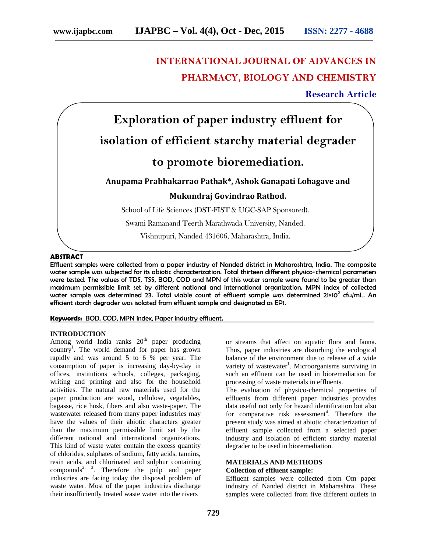# **INTERNATIONAL JOURNAL OF ADVANCES IN PHARMACY, BIOLOGY AND CHEMISTRY**

**Research Article**



## **ABSTRACT**

Effluent samples were collected from a paper industry of Nanded district in Maharashtra, India. The composite water sample was subjected for its abiotic characterization. Total thirteen different physico-chemical parameters were tested. The values of TDS, TSS, BOD, COD and MPN of this water sample were found to be greater than maximum permissible limit set by different national and international organization. MPN index of collected water sample was determined 23. Total viable count of effluent sample was determined 21×10<sup>2</sup> cfu/mL. An efficient starch degrader was isolated from effluent sample and designated as EP1.

## **Keywords:** BOD, COD, MPN index, Paper industry effluent.

## **INTRODUCTION**

Among world India ranks 20<sup>th</sup> paper producing country<sup>1</sup>. The world demand for paper has grown rapidly and was around 5 to 6 % per year. The consumption of paper is increasing day-by-day in offices, institutions schools, colleges, packaging, writing and printing and also for the household activities. The natural raw materials used for the paper production are wood, cellulose, vegetables, bagasse, rice husk, fibers and also waste-paper. The wastewater released from many paper industries may have the values of their abiotic characters greater than the maximum permissible limit set by the different national and international organizations. This kind of waste water contain the excess quantity of chlorides, sulphates of sodium, fatty acids, tannins, resin acids, and chlorinated and sulphur containing compounds<sup>2, 3</sup>. Therefore the pulp and paper industries are facing today the disposal problem of waste water. Most of the paper industries discharge their insufficiently treated waste water into the rivers

or streams that affect on aquatic flora and fauna. Thus, paper industries are disturbing the ecological balance of the environment due to release of a wide variety of wastewater<sup>1</sup>. Microorganisms surviving in such an effluent can be used in bioremediation for processing of waste materials in effluents.

The evaluation of physico-chemical properties of effluents from different paper industries provides data useful not only for hazard identification but also for comparative risk assessment<sup>4</sup>. Therefore the present study was aimed at abiotic characterization of effluent sample collected from a selected paper industry and isolation of efficient starchy material degrader to be used in bioremediation.

#### **MATERIALS AND METHODS Collection of effluent sample:**

Effluent samples were collected from Om paper industry of Nanded district in Maharashtra. These samples were collected from five different outlets in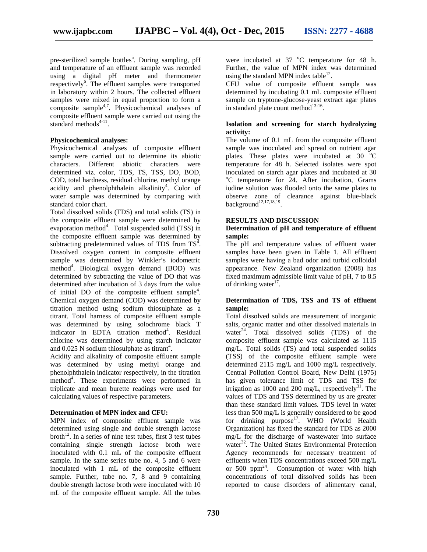pre-sterilized sample bottles<sup>5</sup>. During sampling, pH were and temperature of an effluent sample was recorded using a digital pH meter and thermometer respectively<sup>6</sup>. The effluent samples were transported in laboratory within 2 hours. The collected effluent samples were mixed in equal proportion to form a composite sample<sup>4,7</sup>. Physicochemical analyses of composite effluent sample were carried out using the standard methods $4-11$ .

#### **Physicochemical analyses:**

Physicochemical analyses of composite effluent sample were carried out to determine its abiotic characters. Different abiotic characters were determined viz. color, TDS, TS, TSS, DO, BOD, COD, total hardness, residual chlorine, methyl orange acidity and phenolphthalein alkalinity<sup>4</sup>. Color of water sample was determined by comparing with standard color chart.

Total dissolved solids (TDS) and total solids (TS) in the composite effluent sample were determined by evaporation method<sup>4</sup>. Total suspended solid (TSS) in the composite effluent sample was determined by subtracting predetermined values of TDS from  $TS<sup>4</sup>$ . Dissolved oxygen content in composite effluent sample was determined by Winkler's iodometric method<sup>4</sup>. Biological oxygen demand (BOD) was determined by subtracting the value of DO that was determined after incubation of 3 days from the value of initial DO of the composite effluent sample<sup>4</sup>. Chemical oxygen demand (COD) was determined by titration method using sodium thiosulphate as a titrant. Total harness of composite effluent sample was determined by using solochrome black T indicator in EDTA titration method<sup>4</sup>. Residual chlorine was determined by using starch indicator and  $0.025$  N sodium thiosulphate as titrant<sup>4</sup>.

Acidity and alkalinity of composite effluent sample was determined by using methyl orange and phenolphthalein indicator respectively, in the titration  $m$ ethod<sup>4</sup>. These experiments were performed in triplicate and mean burette readings were used for calculating values of respective parameters.

## **Determination of MPN index and CFU:**

MPN index of composite effluent sample was determined using single and double strength lactose broth<sup>12</sup>. In a series of nine test tubes, first  $\overline{3}$  test tubes containing single strength lactose broth were inoculated with 0.1 mL of the composite effluent sample. In the same series tube no.  $4, 5$  and 6 were inoculated with 1 mL of the composite effluent sample. Further, tube no. 7, 8 and 9 containing double strength lactose broth were inoculated with 10 mL of the composite effluent sample. All the tubes

were incubated at  $37 °C$  temperature for 48 h. Further, the value of MPN index was determined using the standard MPN index table $^{12}$ .

CFU value of composite effluent sample was determined by incubating 0.1 mL composite effluent sample on tryptone-glucose-yeast extract agar plates in standard plate count method $13-16$ .

## **Isolation and screening for starch hydrolyzing activity:**

The volume of 0.1 mL from the composite effluent sample was inoculated and spread on nutrient agar plates. These plates were incubated at  $30\degree\text{C}$ temperature for 48 h. Selected isolates were spot inoculated on starch agar plates and incubated at 30 <sup>o</sup>C temperature for 24. After incubation, Grams iodine solution was flooded onto the same plates to observe zone of clearance against blue-black background $12,17,18,19$ . .

### **RESULTS AND DISCUSSION**

## **Determination of pH and temperature of effluent sample:**

The pH and temperature values of effluent water samples have been given in Table 1. All effluent samples were having a bad odor and turbid colloidal appearance. New Zealand organization (2008) has fixed maximum admissible limit value of pH, 7 to 8.5 of drinking water<sup>17</sup>.

## **Determination of TDS, TSS and TS of effluent sample:**

Total dissolved solids are measurement of inorganic salts, organic matter and other dissolved materials in water<sup>24</sup>. Total dissolved solids (TDS) of the composite effluent sample was calculated as 1115 mg/L. Total solids (TS) and total suspended solids (TSS) of the composite effluent sample were determined 2115 mg/L and 1000 mg/L respectively. Central Pollution Control Board, New Delhi (1975) has given tolerance limit of TDS and TSS for irrigation as 1000 and 200 mg/L, respectively<sup>31</sup>. The values of TDS and TSS determined by us are greater than these standard limit values. TDS level in water less than 500 mg/L is generally considered to be good for drinking purpose<sup>17</sup>. WHO (World Health Organization) has fixed the standard for TDS as 2000 mg/L for the discharge of wastewater into surface water<sup>32</sup>. The United States Environmental Protection Agency recommends for necessary treatment of effluents when TDS concentrations exceed 500 mg/L or 500  $ppm<sup>24</sup>$ . Consumption of water with high concentrations of total dissolved solids has been reported to cause disorders of alimentary canal,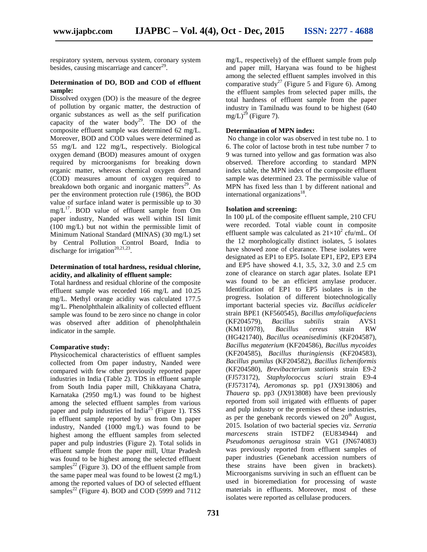respiratory system, nervous system, coronary system besides, causing miscarriage and cancer<sup>29</sup>.

## **Determination of DO, BOD and COD of effluent sample:**

Dissolved oxygen (DO) is the measure of the degree of pollution by organic matter, the destruction of organic substances as well as the self purification capacity of the water body<sup>29</sup>. The  $\overline{DO}$  of the composite effluent sample was determined 62 mg/L. Moreover, BOD and COD values were determined as 55 mg/L and 122 mg/L, respectively. Biological oxygen demand (BOD) measures amount of oxygen required by microorganisms for breaking down organic matter, whereas chemical oxygen demand (COD) measures amount of oxygen required to breakdown both organic and inorganic matters $^{29}$ . As per the environment protection rule (1986), the BOD value of surface inland water is permissible up to 30 mg/L<sup>17</sup>. BOD value of effluent sample from Om **Isola** paper industry, Nanded was well within ISI limit (100 mg/L) but not within the permissible limit of Minimum National Standard (MINAS) (30 mg/L) set by Central Pollution Control Board, India to discharge for irrigation<sup>20,21,23</sup>.

## **Determination of total hardness, residual chlorine, acidity, and alkalinity of effluent sample:**

Total hardness and residual chlorine of the composite effluent sample was recorded 166 mg/L and 10.25 mg/L. Methyl orange acidity was calculated 177.5 mg/L. Phenolphthalein alkalinity of collected effluent sample was found to be zero since no change in color was observed after addition of phenolphthalein indicator in the sample.

#### **Comparative study:**

Physicochemical characteristics of effluent samples collected from Om paper industry, Nanded were compared with few other previously reported paper industries in India (Table 2). TDS in effluent sample from South India paper mill, Chikkayana Chatra, Karnataka (2950 mg/L) was found to be highest among the selected effluent samples from various paper and pulp industries of India<sup>25</sup> (Figure 1). TSS in effluent sample reported by us from Om paper industry, Nanded (1000 mg/L) was found to be highest among the effluent samples from selected paper and pulp industries (Figure 2). Total solids in effluent sample from the paper mill, Uttar Pradesh was found to be highest among the selected effluent samples<sup>22</sup> (Figure 3). DO of the effluent sample from the same paper meal was found to be lowest (2 mg/L) among the reported values of DO of selected effluent samples<sup>22</sup> (Figure 4). BOD and COD (5999 and 7112)

mg/L, respectively) of the effluent sample from pulp and paper mill, Haryana was found to be highest among the selected effluent samples involved in this comparative study<sup>27</sup> (Figure 5 and Figure 6). Among the effluent samples from selected paper mills, the total hardness of effluent sample from the paper industry in Tamilnadu was found to be highest (640  $mg/L$ <sup>29</sup> (Figure 7).

## **Determination of MPN index:**

No change in color was observed in test tube no. 1 to 6. The color of lactose broth in test tube number 7 to 9 was turned into yellow and gas formation was also observed. Therefore according to standard MPN index table, the MPN index of the composite effluent sample was determined 23. The permissible value of MPN has fixed less than 1 by different national and international organizations<sup>18</sup>.

## **Isolation and screening:**

In 100 µL of the composite effluent sample, 210 CFU were recorded. Total viable count in composite effluent sample was calculated as  $21\times10^2$  cfu/mL. Of the 12 morphologically distinct isolates, 5 isolates have showed zone of clearance. These isolates were designated as EP1 to EP5. Isolate EP1, EP2, EP3 EP4 and EP5 have showed 4.1, 3.5, 3.2, 3.0 and 2.5 cm zone of clearance on starch agar plates. Isolate EP1 was found to be an efficient amylase producer. Identification of EP1 to EP5 isolates is in the progress. Isolation of different biotechnologically important bacterial species viz. *Bacillus acidiceler* strain BPE1 (KF560545), *Bacillus amyloliquefaciens* (KF204579), *Bacillus subtilis* strain AVS1 (KM110978), *Bacillus cereus* strain RW (HG421740), *Bacillus oceanisediminis* (KF204587), *Bacillus megaterium* (KF204586), *Bacillus mycoides* (KF204585), *Bacillus thuringiensis* (KF204583), *Bacillus pumilus* (KF204582), *Bacillus licheniformis* (KF204580), *Brevibacterium stationis* strain E9-2 (FJ573172), *Staphylococcus sciuri* strain E9-4 (FJ573174), *Aeromonas* sp*.* pp1 (JX913806) and *Thauera* sp. pp3 (JX913808) have been previously reported from soil irrigated with effluents of paper and pulp industry or the premises of these industries, as per the genebank records viewed on  $20<sup>th</sup>$  August, 2015. Isolation of two bacterial species viz. *Serratia marcescens* strain ISTDF2 (EU834944) and *Pseudomonas aeruginosa* strain VG1 (JN674083) was previously reported from effluent samples of paper industries (Genebank accession numbers of these strains have been given in brackets). Microorganisms surviving in such an effluent can be used in bioremediation for processing of waste materials in effluents. Moreover, most of these isolates were reported as cellulase producers.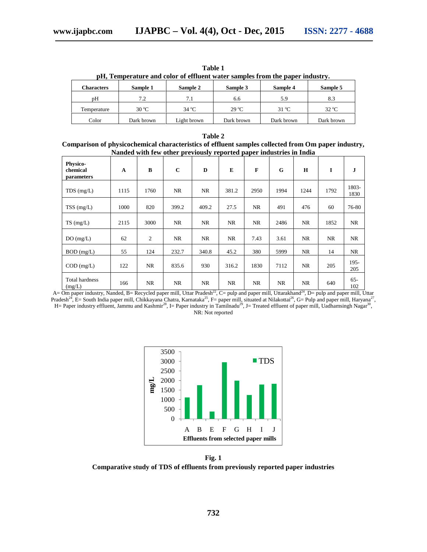|                   |                |                |                |                | pH, Temperature and color of effluent water samples from the paper industry. |  |  |  |  |
|-------------------|----------------|----------------|----------------|----------------|------------------------------------------------------------------------------|--|--|--|--|
| <b>Characters</b> | Sample 1       | Sample 2       | Sample 3       | Sample 4       | Sample 5                                                                     |  |  |  |  |
| pΗ                | 7.2            | 7.1            | 6.6            | 5.9            | 8.3                                                                          |  |  |  |  |
| Temperature       | $30^{\circ}$ C | $34^{\circ}$ C | $29^{\circ}$ C | $31^{\circ}$ C | $32 \text{ °C}$                                                              |  |  |  |  |
| Color             | Dark brown     | Light brown    | Dark brown     | Dark brown     | Dark brown                                                                   |  |  |  |  |

**Table 1**

| Table 2                                                                                             |
|-----------------------------------------------------------------------------------------------------|
| Comparison of physicochemical characteristics of effluent samples collected from Om paper industry, |
| Nanded with few other previously reported paper industries in India                                 |

|                                    |              |           | runded with few other previously reported puper maustries in filling |           |           |             |           |           |           |                |
|------------------------------------|--------------|-----------|----------------------------------------------------------------------|-----------|-----------|-------------|-----------|-----------|-----------|----------------|
| Physico-<br>chemical<br>parameters | $\mathbf{A}$ | $\bf{B}$  | $\mathbf{C}$                                                         | D         | E         | $\mathbf F$ | G         | H         | I         | J              |
| $TDS$ (mg/L)                       | 1115         | 1760      | <b>NR</b>                                                            | <b>NR</b> | 381.2     | 2950        | 1994      | 1244      | 1792      | 1803-<br>1830  |
| $TSS$ (mg/L)                       | 1000         | 820       | 399.2                                                                | 409.2     | 27.5      | <b>NR</b>   | 491       | 476       | 60        | 76-80          |
| $TS$ (mg/L)                        | 2115         | 3000      | <b>NR</b>                                                            | NR        | <b>NR</b> | NR          | 2486      | NR        | 1852      | NR             |
| DO(mg/L)                           | 62           | 2         | NR.                                                                  | NR        | NR        | 7.43        | 3.61      | NR        | <b>NR</b> | <b>NR</b>      |
| $BOD$ (mg/L)                       | 55           | 124       | 232.7                                                                | 340.8     | 45.2      | 380         | 5999      | NR        | 14        | NR.            |
| $COD$ (mg/L)                       | 122          | <b>NR</b> | 835.6                                                                | 930       | 316.2     | 1830        | 7112      | <b>NR</b> | 205       | $195 -$<br>205 |
| Total hardness<br>(mg/L)           | 166          | <b>NR</b> | <b>NR</b>                                                            | <b>NR</b> | NR        | <b>NR</b>   | <b>NR</b> | <b>NR</b> | 640       | $65 -$<br>102  |

A= Om paper industry, Nanded, B= Recycled paper mill, Uttar Pradesh<sup>22</sup>, C= pulp and paper mill, Uttarakhand<sup>24</sup>, D= pulp and paper mill, Uttar Pradesh<sup>24</sup>, E= South India paper mill, Chikkayana Chatra, Karnataka<sup>25</sup>, F= paper mill, situated at Nilakottai<sup>26</sup>, G= Pulp and paper mill, Haryana<sup>27</sup>, H= Paper industry effluent, Jammu and Kashmir<sup>28</sup>, I= Paper industry in Tamilnadu<sup>29</sup>, J= Treated effluent of paper mill, Uadhamsingh Nagar<sup>30</sup>, NR: Not reported



**Fig. 1**

**Comparative study of TDS of effluents from previously reported paper industries**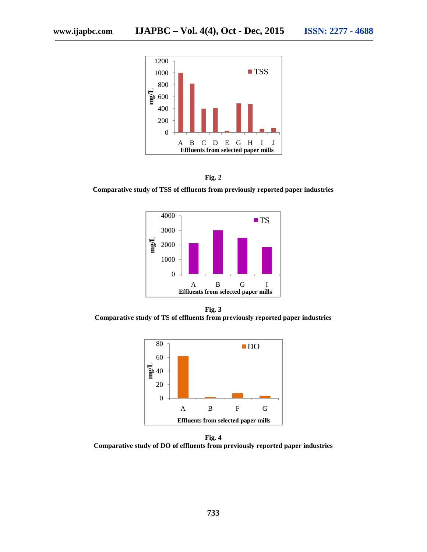



**Comparative study of TSS of effluents from previously reported paper industries**



**Fig. 3 Comparative study of TS of effluents from previously reported paper industries**



**Fig. 4 Comparative study of DO of effluents from previously reported paper industries**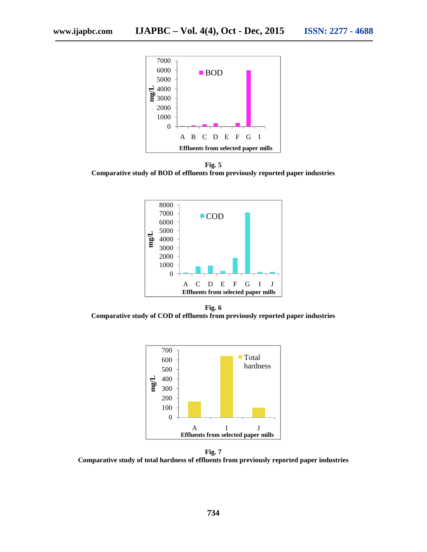

**Fig. 5 Comparative study of BOD of effluents from previously reported paper industries**



**Fig. 6 Comparative study of COD of effluents from previously reported paper industries**



**Fig. 7 Comparative study of total hardness of effluents from previously reported paper industries**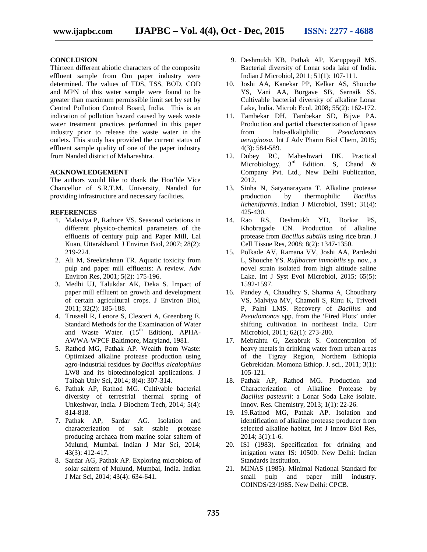## **CONCLUSION**

Thirteen different abiotic characters of the composite effluent sample from Om paper industry were determined. The values of TDS, TSS, BOD, COD and MPN of this water sample were found to be greater than maximum permissible limit set by set by Central Pollution Control Board, India. This is an indication of pollution hazard caused by weak waste water treatment practices performed in this paper industry prior to release the waste water in the outlets. This study has provided the current status of effluent sample quality of one of the paper industry from Nanded district of Maharashtra.

## **ACKNOWLEDGEMENT**

The authors would like to thank the Hon'ble Vice Chancellor of S.R.T.M. University, Nanded for providing infrastructure and necessary facilities.

## **REFERENCES**

- 1. Malaviya P, Rathore VS. Seasonal variations in different physico-chemical parameters of the effluents of century pulp and Paper Mill, Lal Kuan, Uttarakhand. J Environ Biol, 2007; 28(2): 219-224.
- 2. Ali M, Sreekrishnan TR. Aquatic toxicity from pulp and paper mill effluents: A review. Adv Environ Res, 2001; 5(2): 175-196.
- 3. Medhi UJ, Talukdar AK, Deka S. Impact of paper mill effluent on growth and development of certain agricultural crops. J Environ Biol, 2011; 32(2): 185-188.
- 4. Trussell R, Lenore S, Clesceri A, Greenberg E. Standard Methods for the Examination of Water and Waste Water.  $(15<sup>th</sup> Edition)$ , APHA-AWWA-WPCF Baltimore, Maryland, 1981.
- 5. Rathod MG, Pathak AP. Wealth from Waste: Optimized alkaline protease production using agro-industrial residues by *Bacillus alcalophilus* LW8 and its biotechnological applications. J Taibah Univ Sci, 2014; 8(4): 307-314.
- 6. Pathak AP, Rathod MG. Cultivable bacterial diversity of terrestrial thermal spring of Unkeshwar, India. J Biochem Tech, 2014; 5(4): 814-818.
- 7. Pathak AP, Sardar AG. Isolation and characterization of salt stable protease producing archaea from marine solar saltern of Mulund, Mumbai. Indian J Mar Sci, 2014; 43(3): 412-417.
- 8. Sardar AG, Pathak AP. Exploring microbiota of solar saltern of Mulund, Mumbai, India. Indian J Mar Sci, 2014; 43(4): 634-641.
- 9. Deshmukh KB, Pathak AP, Karuppayil MS. Bacterial diversity of Lonar soda lake of India. Indian J Microbiol, 2011; 51(1): 107-111.
- 10. Joshi AA, Kanekar PP, Kelkar AS, Shouche YS, Vani AA, Borgave SB, Sarnaik SS. Cultivable bacterial diversity of alkaline Lonar Lake, India. Microb Ecol, 2008; 55(2): 162-172.
- 11. Tambekar DH, Tambekar SD, Bijwe PA. Production and partial characterization of lipase from halo-alkaliphilic *Pseudomonas aeruginosa.* Int J Adv Pharm Biol Chem, 2015; 4(3): 584-589.
- 12. Dubey RC, Maheshwari DK. Practical Microbiology,  $3<sup>rd</sup>$  Edition. S, Chand & Company Pvt. Ltd., New Delhi Publication, 2012.
- 13. Sinha N, Satyanarayana T. Alkaline protease production by thermophilic *Bacillus licheniformis*. Indian J Microbiol, 1991; 31(4): 425-430.
- 14. Rao RS, Deshmukh YD, Borkar PS, Khobragade CN. Production of alkaline protease from *Bacillus subtilis* using rice bran. J Cell Tissue Res, 2008; 8(2): 1347-1350.
- 15. Polkade AV, Ramana VV, Joshi AA, Pardeshi L, Shouche YS. *Rufibacter immobilis* sp. nov., a novel strain isolated from high altitude saline Lake. Int J Syst Evol Microbiol, 2015; 65(5): 1592-1597.
- 16. Pandey A, Chaudhry S, Sharma A, Choudhary VS, Malviya MV, Chamoli S, Rinu K, Trivedi P, Palni LMS. Recovery of *Bacillus* and *Pseudomonas* spp. from the 'Fired Plots' under shifting cultivation in northeast India. Curr Microbiol, 2011; 62(1): 273-280.
- 17. Mebrahtu G, Zerabruk S. Concentration of heavy metals in drinking water from urban areas of the Tigray Region, Northern Ethiopia Gebrekidan. Momona Ethiop. J. sci., 2011; 3(1): 105-121.
- 18. Pathak AP, Rathod MG. Production and Characterization of Alkaline Protease by *Bacillus pasteurii*: a Lonar Soda Lake isolate. Innov. Res. Chemistry, 2013; 1(1): 22-26.
- 19. 19.Rathod MG, Pathak AP. Isolation and identification of alkaline protease producer from selected alkaline habitat, Int J Innov Biol Res, 2014; 3(1):1-6.
- 20. ISI (1983). Specification for drinking and irrigation water IS: 10500. New Delhi: Indian Standards Institution.
- 21. MINAS (1985). Minimal National Standard for small pulp and paper mill industry. COINDS/23/1985. New Delhi: CPCB.